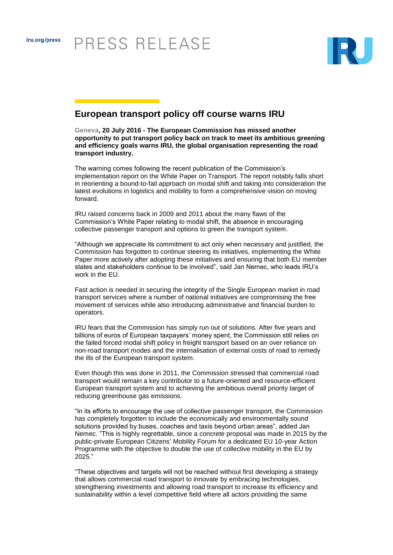

## **European transport policy off course warns IRU**

**Geneva, 20 July 2016 - The European Commission has missed another opportunity to put transport policy back on track to meet its ambitious greening and efficiency goals warns IRU, the global organisation representing the road transport industry.**

The warning comes following the recent publication of the Commission's implementation report on the White Paper on Transport. The report notably falls short in reorienting a bound-to-fail approach on modal shift and taking into consideration the latest evolutions in logistics and mobility to form a comprehensive vision on moving forward.

IRU raised concerns back in 2009 and 2011 about the many flaws of the Commission's White Paper relating to modal shift, the absence in encouraging collective passenger transport and options to green the transport system.

"Although we appreciate its commitment to act only when necessary and justified, the Commission has forgotten to continue steering its initiatives, implementing the White Paper more actively after adopting these initiatives and ensuring that both EU member states and stakeholders continue to be involved", said Jan Nemec, who leads IRU's work in the FU.

Fast action is needed in securing the integrity of the Single European market in road transport services where a number of national initiatives are compromising the free movement of services while also introducing administrative and financial burden to operators.

IRU fears that the Commission has simply run out of solutions. After five years and billions of euros of European taxpayers' money spent, the Commission still relies on the failed forced modal shift policy in freight transport based on an over reliance on non-road transport modes and the internalisation of external costs of road to remedy the ills of the European transport system.

Even though this was done in 2011, the Commission stressed that commercial road transport would remain a key contributor to a future-oriented and resource-efficient European transport system and to achieving the ambitious overall priority target of reducing greenhouse gas emissions.

"In its efforts to encourage the use of collective passenger transport, the Commission has completely forgotten to include the economically and environmentally sound solutions provided by buses, coaches and taxis beyond urban areas", added Jan Nemec. "This is highly regrettable, since a concrete proposal was made in 2015 by the public-private European Citizens' Mobility Forum for a dedicated EU 10-year Action Programme with the objective to double the use of collective mobility in the EU by 2025."

"These objectives and targets will not be reached without first developing a strategy that allows commercial road transport to innovate by embracing technologies, strengthening investments and allowing road transport to increase its efficiency and sustainability within a level competitive field where all actors providing the same